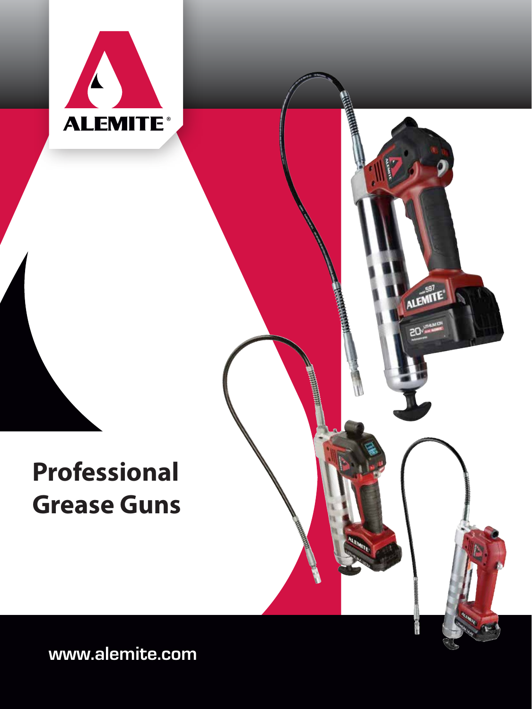

# **Professional Grease Guns**



**www.alemite.com**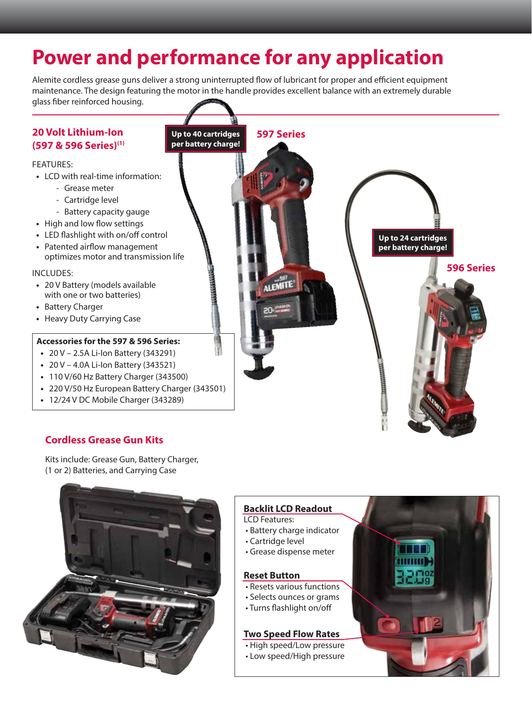# **Power and performance for any application**

Alemite cordless grease guns deliver a strong uninterrupted flow of lubricant for proper and efficient equipment maintenance. The design featuring the motor in the handle provides excellent balance with an extremely durable glass fiber reinforced housing.



# **Cordless Grease Gun Kits**

Kits include: Grease Gun, Battery Charger, (1 or 2) Batteries, and Carrying Case



#### **Backlit LCD Readout**

LCD Features:

- Battery charge indicator
- Cartridge level
- Grease dispense meter

## **Reset Button**

- Resets various functions
- Selects ounces or grams
- Turns flashlight on/off

## **Two Speed Flow Rates**

- High speed/Low pressure
- Low speed/High pressure
-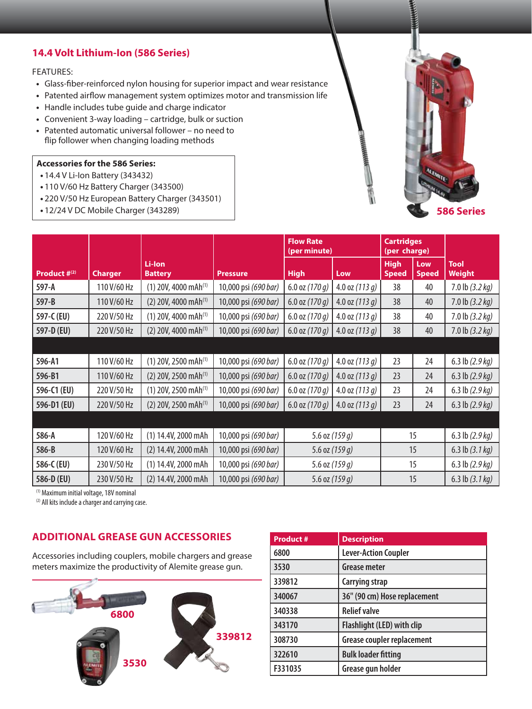# **14.4 Volt Lithium-Ion (586 Series)**

#### FEATURES:

- **•** Glass-fiber-reinforced nylon housing for superior impact and wear resistance
- **•** Patented airflow management system optimizes motor and transmission life
- **•** Handle includes tube guide and charge indicator
- **•** Convenient 3-way loading cartridge, bulk or suction
- **•** Patented automatic universal follower no need to flip follower when changing loading methods

#### **Accessories for the 586 Series:**

- **•** 14.4 V Li-Ion Battery (343432)
- **•** 110 V/60 Hz Battery Charger (343500)
- **•** 220 V/50 Hz European Battery Charger (343501)
- **•** 12/24 V DC Mobile Charger (343289)



|                   |                |                                    |                      | <b>Flow Rate</b><br>(per minute) |                  | <b>Cartridges</b><br>(per charge) |                     |                           |
|-------------------|----------------|------------------------------------|----------------------|----------------------------------|------------------|-----------------------------------|---------------------|---------------------------|
| Product $#^{(2)}$ | <b>Charger</b> | Li-Ion<br><b>Battery</b>           | <b>Pressure</b>      | <b>High</b>                      | Low              | <b>High</b><br><b>Speed</b>       | Low<br><b>Speed</b> | <b>Tool</b><br>Weight     |
| 597-A             | 110 V/60 Hz    | $(1)$ 20V, 4000 mAh <sup>(1)</sup> | 10,000 psi (690 bar) | 6.0 oz $(170q)$                  | 4.0 oz $(113 q)$ | 38                                | 40                  | 7.0 lb $(3.2 kg)$         |
| 597-B             | 110 V/60 Hz    | $(2)$ 20V, 4000 mAh <sup>(1)</sup> | 10,000 psi (690 bar) | 6.0 oz $(170q)$                  | 4.0 oz $(113 g)$ | 38                                | 40                  | 7.0 lb $(3.2 kg)$         |
| 597-C (EU)        | 220 V/50 Hz    | $(1)$ 20V, 4000 mAh <sup>(1)</sup> | 10,000 psi (690 bar) | 6.0 oz $(170q)$                  | 4.0 oz $(113 q)$ | 38                                | 40                  | 7.0 lb $(3.2 kg)$         |
| 597-D (EU)        | 220 V/50 Hz    | $(2)$ 20V, 4000 mAh <sup>(1)</sup> | 10,000 psi (690 bar) | 6.0 oz $(170 g)$                 | 4.0 oz $(113 g)$ | 38                                | 40                  | $7.0$ lb $(3.2$ kg)       |
|                   |                |                                    |                      |                                  |                  |                                   |                     |                           |
| 596-A1            | 110 V/60 Hz    | $(1)$ 20V, 2500 mAh <sup>(1)</sup> | 10,000 psi (690 bar) | 6.0 oz $(170q)$                  | 4.0 oz $(113 g)$ | 23                                | 24                  | 6.3 lb $(2.9 kg)$         |
| 596-B1            | 110 V/60 Hz    | $(2)$ 20V, 2500 mAh <sup>(1)</sup> | 10,000 psi (690 bar) | 6.0 oz $(170q)$                  | 4.0 oz $(113 g)$ | 23                                | 24                  | 6.3 lb $(2.9 kg)$         |
| 596-C1 (EU)       | 220 V/50 Hz    | $(1)$ 20V, 2500 mAh <sup>(1)</sup> | 10,000 psi (690 bar) | 6.0 oz $(170q)$                  | 4.0 oz $(113 q)$ | 23                                | 24                  | 6.3 lb $(2.9 kg)$         |
| 596-D1 (EU)       | 220 V/50 Hz    | $(2)$ 20V, 2500 mAh <sup>(1)</sup> | 10,000 psi (690 bar) | 6.0 oz $(170q)$                  | 4.0 oz $(113q)$  | 23                                | 24                  | 6.3 lb (2.9 kg)           |
|                   |                |                                    |                      |                                  |                  |                                   |                     |                           |
| 586-A             | 120 V/60 Hz    | (1) 14.4V, 2000 mAh                | 10,000 psi (690 bar) |                                  | 5.6 oz $(159 g)$ |                                   | 15                  | 6.3 lb $(2.9 kg)$         |
| 586-B             | 120 V/60 Hz    | (2) 14.4V, 2000 mAh                | 10,000 psi (690 bar) | 5.6 oz $(159 g)$                 |                  | 15                                |                     | 6.3 lb $(3.1 \text{ kg})$ |
| 586-C (EU)        | 230 V/50 Hz    | (1) 14.4V, 2000 mAh                | 10,000 psi (690 bar) | 5.6 oz $(159 g)$                 |                  | 15                                |                     | 6.3 lb $(2.9 kg)$         |
| 586-D (EU)        | 230 V/50 Hz    | (2) 14.4V, 2000 mAh                | 10,000 psi (690 bar) | 5.6 oz $(159q)$                  |                  | 15                                |                     | 6.3 lb $(3.1 \text{ kg})$ |

(1) Maximum initial voltage, 18V nominal

(2) All kits include a charger and carrying case.

## **ADDITIONAL GREASE GUN ACCESSORIES**

Accessories including couplers, mobile chargers and grease meters maximize the productivity of Alemite grease gun.



| <b>Product#</b> | <b>Description</b>                |
|-----------------|-----------------------------------|
| 6800            | <b>Lever-Action Coupler</b>       |
| 3530            | <b>Grease meter</b>               |
| 339812          | Carrying strap                    |
| 340067          | 36" (90 cm) Hose replacement      |
| 340338          | <b>Relief valve</b>               |
| 343170          | Flashlight (LED) with clip        |
| 308730          | <b>Grease coupler replacement</b> |
| 322610          | <b>Bulk loader fitting</b>        |
| F331035         | Grease gun holder                 |